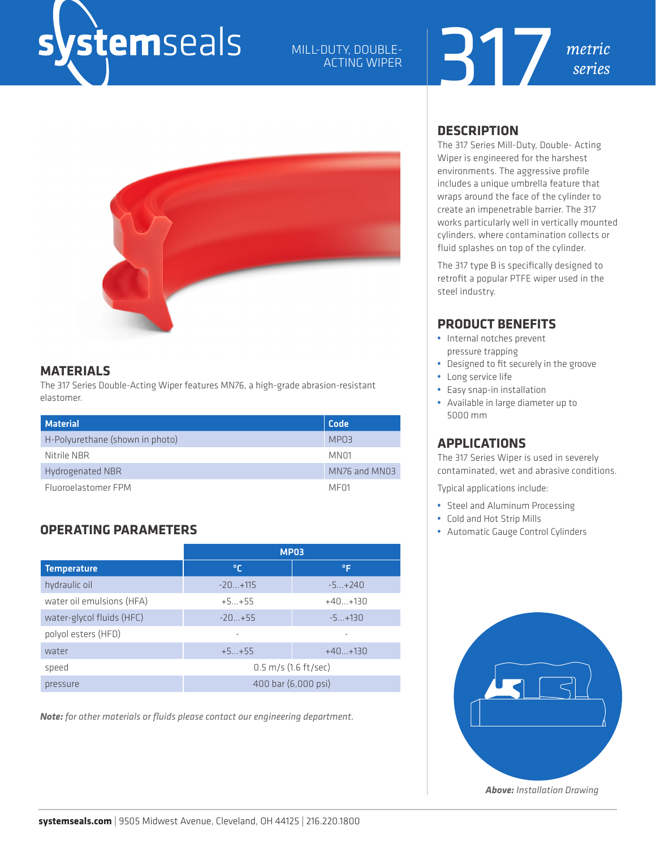## *s*temseals

## MILL-DUTY, DOUBLE-ACTING WIPER





## **MATERIALS**

The 317 Series Double-Acting Wiper features MN76, a high-grade abrasion-resistant elastomer.

| <b>Material</b>                 | Code             |
|---------------------------------|------------------|
| H-Polyurethane (shown in photo) | MPO3             |
| Nitrile NBR                     | MN01             |
| Hydrogenated NBR                | MN76 and MN03    |
| Fluoroelastomer FPM             | MF <sub>01</sub> |

## **OPERATING PARAMETERS**

|                           | <b>MP03</b>                      |           |  |  |  |  |
|---------------------------|----------------------------------|-----------|--|--|--|--|
| <b>Temperature</b>        | ℃                                | °F        |  |  |  |  |
| hydraulic oil             | $-20+115$                        | $-5+240$  |  |  |  |  |
| water oil emulsions (HFA) | $+5+55$                          | $+40+130$ |  |  |  |  |
| water-glycol fluids (HFC) | $-20+55$                         | $-5+130$  |  |  |  |  |
| polyol esters (HFD)       |                                  |           |  |  |  |  |
| water                     | $+5+55$                          | $+40+130$ |  |  |  |  |
| speed                     | $0.5 \, \text{m/s}$ (1.6 ft/sec) |           |  |  |  |  |
| pressure                  | 400 bar (6,000 psi)              |           |  |  |  |  |

*Note: for other materials or fluids please contact our engineering department.*

## **DESCRIPTION**

The 317 Series Mill-Duty, Double- Acting Wiper is engineered for the harshest environments. The aggressive profile includes a unique umbrella feature that wraps around the face of the cylinder to create an impenetrable barrier. The 317 works particularly well in vertically mounted cylinders, where contamination collects or fluid splashes on top of the cylinder.

The 317 type B is specifically designed to retrofit a popular PTFE wiper used in the steel industry.

## **PRODUCT BENEFITS**

- **•** Internal notches prevent pressure trapping
- **•** Designed to fit securely in the groove
- **•** Long service life
- **•** Easy snap-in installation
- **•** Available in large diameter up to 5000 mm

## **APPLICATIONS**

The 317 Series Wiper is used in severely contaminated, wet and abrasive conditions.

Typical applications include:

- **•** Steel and Aluminum Processing
- **•** Cold and Hot Strip Mills
- **•** Automatic Gauge Control Cylinders



*Above: Installation Drawing*